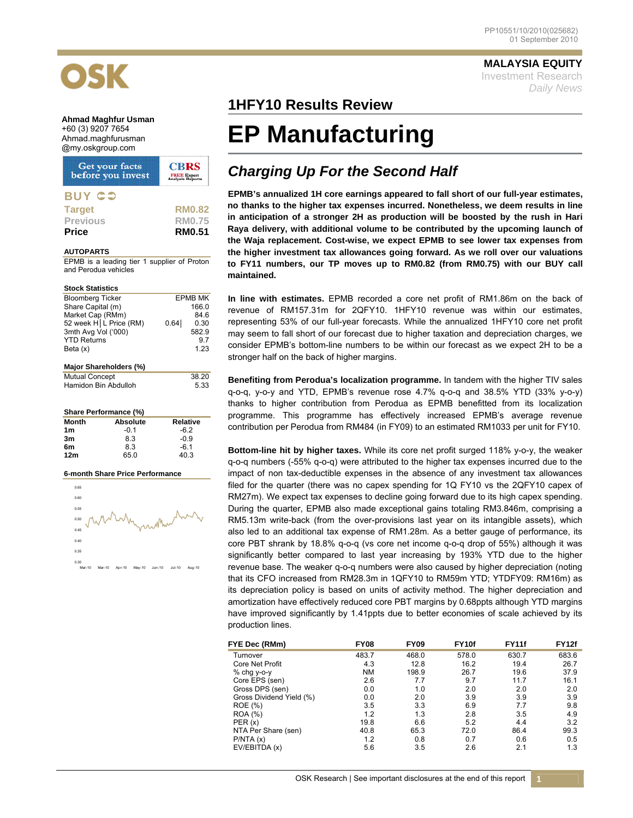**MALAYSIA EQUITY** Investment Research *Daily News*

# OSK

**Ahmad Maghfur Usman**  +60 (3) 9207 7654 Ahmad.maghfurusman @my.oskgroup.com

| Get your facts<br>before you invest | <b>CBRS</b><br><b>FREE Expert</b><br>Analysis Reports |
|-------------------------------------|-------------------------------------------------------|
| <b>BUY CO</b>                       |                                                       |
| <b>Target</b>                       | <b>RM0.82</b>                                         |
| <b>Previous</b>                     | <b>RM0.75</b>                                         |
| <b>Price</b>                        | <b>RM0.51</b>                                         |

### **AUTOPARTS**

EPMB is a leading tier 1 supplier of Proton and Perodua vehicles

### **Stock Statistics**

| <b>Bloomberg Ticker</b>  |      | <b>EPMB MK</b> |  |  |  |  |
|--------------------------|------|----------------|--|--|--|--|
| Share Capital (m)        |      | 166.0          |  |  |  |  |
| Market Cap (RMm)         |      | 846            |  |  |  |  |
| 52 week H   L Price (RM) | 0.64 | 0.30           |  |  |  |  |
| 3mth Avg Vol ('000)      |      | 582.9          |  |  |  |  |
| <b>YTD Returns</b>       |      | 97             |  |  |  |  |
| Beta $(x)$               |      | 1.23           |  |  |  |  |
|                          |      |                |  |  |  |  |
| Major Shareholders (%)   |      |                |  |  |  |  |

| <b>Mutual Concept</b> | 38.20 |
|-----------------------|-------|
| Hamidon Bin Abdulloh  | 5.33  |

### **Share Performance (%)**

| Month           | <b>Absolute</b> | <b>Relative</b> |
|-----------------|-----------------|-----------------|
| 1 <sub>m</sub>  | -0.1            | -62             |
| 3m              | 8.3             | -0.9            |
| 6m              | 8.3             | $-6.1$          |
| 12 <sub>m</sub> | 65.0            | 40.3            |

### **6-month Share Price Performance**



### **1HFY10 Results Review**

## **EP Manufacturing**

### *Charging Up For the Second Half*

**EPMB's annualized 1H core earnings appeared to fall short of our full-year estimates, no thanks to the higher tax expenses incurred. Nonetheless, we deem results in line in anticipation of a stronger 2H as production will be boosted by the rush in Hari Raya delivery, with additional volume to be contributed by the upcoming launch of the Waja replacement. Cost-wise, we expect EPMB to see lower tax expenses from the higher investment tax allowances going forward. As we roll over our valuations to FY11 numbers, our TP moves up to RM0.82 (from RM0.75) with our BUY call maintained.** 

**In line with estimates.** EPMB recorded a core net profit of RM1.86m on the back of revenue of RM157.31m for 2QFY10. 1HFY10 revenue was within our estimates, representing 53% of our full-year forecasts. While the annualized 1HFY10 core net profit may seem to fall short of our forecast due to higher taxation and depreciation charges, we consider EPMB's bottom-line numbers to be within our forecast as we expect 2H to be a stronger half on the back of higher margins.

**Benefiting from Perodua's localization programme.** In tandem with the higher TIV sales q-o-q, y-o-y and YTD, EPMB's revenue rose 4.7% q-o-q and 38.5% YTD (33% y-o-y) thanks to higher contribution from Perodua as EPMB benefitted from its localization programme. This programme has effectively increased EPMB's average revenue contribution per Perodua from RM484 (in FY09) to an estimated RM1033 per unit for FY10.

**Bottom-line hit by higher taxes.** While its core net profit surged 118% y-o-y, the weaker q-o-q numbers (-55% q-o-q) were attributed to the higher tax expenses incurred due to the impact of non tax-deductible expenses in the absence of any investment tax allowances filed for the quarter (there was no capex spending for 1Q FY10 vs the 2QFY10 capex of RM27m). We expect tax expenses to decline going forward due to its high capex spending. During the quarter, EPMB also made exceptional gains totaling RM3.846m, comprising a RM5.13m write-back (from the over-provisions last year on its intangible assets), which also led to an additional tax expense of RM1.28m. As a better gauge of performance, its core PBT shrank by 18.8% q-o-q (vs core net income q-o-q drop of 55%) although it was significantly better compared to last year increasing by 193% YTD due to the higher revenue base. The weaker q-o-q numbers were also caused by higher depreciation (noting that its CFO increased from RM28.3m in 1QFY10 to RM59m YTD; YTDFY09: RM16m) as its depreciation policy is based on units of activity method. The higher depreciation and amortization have effectively reduced core PBT margins by 0.68ppts although YTD margins have improved significantly by 1.41ppts due to better economies of scale achieved by its production lines.

| FYE Dec (RMm)            | <b>FY08</b> | <b>FY09</b> | FY <sub>10f</sub> | <b>FY11f</b> | <b>FY12f</b> |
|--------------------------|-------------|-------------|-------------------|--------------|--------------|
| Turnover                 | 483.7       | 468.0       | 578.0             | 630.7        | 683.6        |
| <b>Core Net Profit</b>   | 4.3         | 12.8        | 16.2              | 19.4         | 26.7         |
| $%$ chg y-o-y            | <b>NM</b>   | 198.9       | 26.7              | 19.6         | 37.9         |
| Core EPS (sen)           | 2.6         | 7.7         | 9.7               | 11.7         | 16.1         |
| Gross DPS (sen)          | 0.0         | 1.0         | 2.0               | 2.0          | 2.0          |
| Gross Dividend Yield (%) | 0.0         | 2.0         | 3.9               | 3.9          | 3.9          |
| <b>ROE</b> (%)           | 3.5         | 3.3         | 6.9               | 7.7          | 9.8          |
| <b>ROA</b> (%)           | 1.2         | 1.3         | 2.8               | 3.5          | 4.9          |
| PER(x)                   | 19.8        | 6.6         | 5.2               | 4.4          | 3.2          |
| NTA Per Share (sen)      | 40.8        | 65.3        | 72.0              | 86.4         | 99.3         |
| P/NTA(x)                 | 1.2         | 0.8         | 0.7               | 0.6          | 0.5          |
| EV/EBITDA (x)            | 5.6         | 3.5         | 2.6               | 2.1          | 1.3          |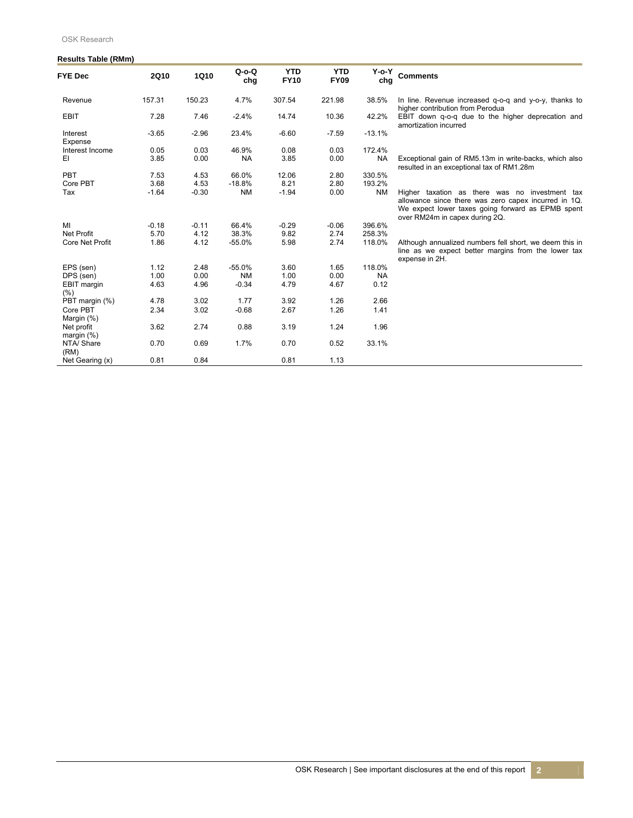### **Results Table (RMm)**

| <b>FYE Dec</b>              | <b>2Q10</b> | 1Q10    | $Q$ -o- $Q$<br>chg | <b>YTD</b><br><b>FY10</b> | <b>YTD</b><br><b>FY09</b> | Y-o-Y<br>chg | Comments                                                                                                                                                                                      |
|-----------------------------|-------------|---------|--------------------|---------------------------|---------------------------|--------------|-----------------------------------------------------------------------------------------------------------------------------------------------------------------------------------------------|
| Revenue                     | 157.31      | 150.23  | 4.7%               | 307.54                    | 221.98                    | 38.5%        | In line. Revenue increased q-o-q and y-o-y, thanks to<br>higher contribution from Perodua                                                                                                     |
| <b>EBIT</b>                 | 7.28        | 7.46    | $-2.4%$            | 14.74                     | 10.36                     | 42.2%        | EBIT down q-o-q due to the higher deprecation and<br>amortization incurred                                                                                                                    |
| Interest<br>Expense         | $-3.65$     | $-2.96$ | 23.4%              | $-6.60$                   | $-7.59$                   | $-13.1%$     |                                                                                                                                                                                               |
| Interest Income             | 0.05        | 0.03    | 46.9%              | 0.08                      | 0.03                      | 172.4%       |                                                                                                                                                                                               |
| EI                          | 3.85        | 0.00    | <b>NA</b>          | 3.85                      | 0.00                      | <b>NA</b>    | Exceptional gain of RM5.13m in write-backs, which also<br>resulted in an exceptional tax of RM1.28m                                                                                           |
| <b>PBT</b>                  | 7.53        | 4.53    | 66.0%              | 12.06                     | 2.80                      | 330.5%       |                                                                                                                                                                                               |
| Core PBT                    | 3.68        | 4.53    | $-18.8%$           | 8.21                      | 2.80                      | 193.2%       |                                                                                                                                                                                               |
| Tax                         | $-1.64$     | $-0.30$ | <b>NM</b>          | $-1.94$                   | 0.00                      | <b>NM</b>    | Higher taxation as there was no investment tax<br>allowance since there was zero capex incurred in 1Q.<br>We expect lower taxes going forward as EPMB spent<br>over RM24m in capex during 2Q. |
| MI                          | $-0.18$     | $-0.11$ | 66.4%              | $-0.29$                   | $-0.06$                   | 396.6%       |                                                                                                                                                                                               |
| <b>Net Profit</b>           | 5.70        | 4.12    | 38.3%              | 9.82                      | 2.74                      | 258.3%       |                                                                                                                                                                                               |
| <b>Core Net Profit</b>      | 1.86        | 4.12    | $-55.0%$           | 5.98                      | 2.74                      | 118.0%       | Although annualized numbers fell short, we deem this in<br>line as we expect better margins from the lower tax<br>expense in 2H.                                                              |
| EPS (sen)                   | 1.12        | 2.48    | $-55.0%$           | 3.60                      | 1.65                      | 118.0%       |                                                                                                                                                                                               |
| DPS (sen)                   | 1.00        | 0.00    | <b>NM</b>          | 1.00                      | 0.00                      | <b>NA</b>    |                                                                                                                                                                                               |
| EBIT margin<br>(%)          | 4.63        | 4.96    | $-0.34$            | 4.79                      | 4.67                      | 0.12         |                                                                                                                                                                                               |
| PBT margin (%)              | 4.78        | 3.02    | 1.77               | 3.92                      | 1.26                      | 2.66         |                                                                                                                                                                                               |
| Core PBT                    | 2.34        | 3.02    | $-0.68$            | 2.67                      | 1.26                      | 1.41         |                                                                                                                                                                                               |
| Margin (%)                  |             |         |                    |                           |                           |              |                                                                                                                                                                                               |
| Net profit<br>margin $(\%)$ | 3.62        | 2.74    | 0.88               | 3.19                      | 1.24                      | 1.96         |                                                                                                                                                                                               |
| NTA/ Share<br>(RM)          | 0.70        | 0.69    | 1.7%               | 0.70                      | 0.52                      | 33.1%        |                                                                                                                                                                                               |
| Net Gearing (x)             | 0.81        | 0.84    |                    | 0.81                      | 1.13                      |              |                                                                                                                                                                                               |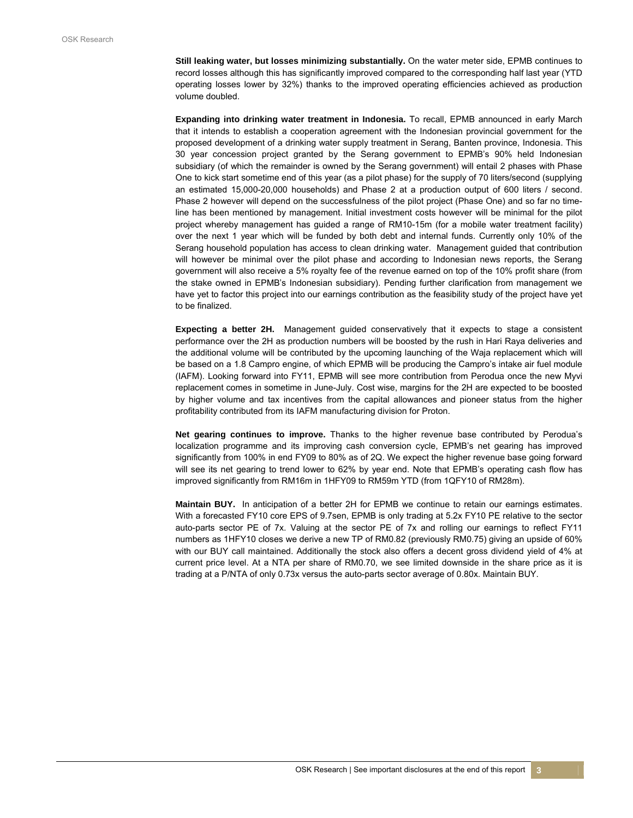**Still leaking water, but losses minimizing substantially.** On the water meter side, EPMB continues to record losses although this has significantly improved compared to the corresponding half last year (YTD operating losses lower by 32%) thanks to the improved operating efficiencies achieved as production volume doubled.

**Expanding into drinking water treatment in Indonesia.** To recall, EPMB announced in early March that it intends to establish a cooperation agreement with the Indonesian provincial government for the proposed development of a drinking water supply treatment in Serang, Banten province, Indonesia. This 30 year concession project granted by the Serang government to EPMB's 90% held Indonesian subsidiary (of which the remainder is owned by the Serang government) will entail 2 phases with Phase One to kick start sometime end of this year (as a pilot phase) for the supply of 70 liters/second (supplying an estimated 15,000-20,000 households) and Phase 2 at a production output of 600 liters / second. Phase 2 however will depend on the successfulness of the pilot project (Phase One) and so far no timeline has been mentioned by management. Initial investment costs however will be minimal for the pilot project whereby management has guided a range of RM10-15m (for a mobile water treatment facility) over the next 1 year which will be funded by both debt and internal funds. Currently only 10% of the Serang household population has access to clean drinking water. Management guided that contribution will however be minimal over the pilot phase and according to Indonesian news reports, the Serang government will also receive a 5% royalty fee of the revenue earned on top of the 10% profit share (from the stake owned in EPMB's Indonesian subsidiary). Pending further clarification from management we have yet to factor this project into our earnings contribution as the feasibility study of the project have yet to be finalized.

**Expecting a better 2H.** Management guided conservatively that it expects to stage a consistent performance over the 2H as production numbers will be boosted by the rush in Hari Raya deliveries and the additional volume will be contributed by the upcoming launching of the Waja replacement which will be based on a 1.8 Campro engine, of which EPMB will be producing the Campro's intake air fuel module (IAFM). Looking forward into FY11, EPMB will see more contribution from Perodua once the new Myvi replacement comes in sometime in June-July. Cost wise, margins for the 2H are expected to be boosted by higher volume and tax incentives from the capital allowances and pioneer status from the higher profitability contributed from its IAFM manufacturing division for Proton.

**Net gearing continues to improve.** Thanks to the higher revenue base contributed by Perodua's localization programme and its improving cash conversion cycle, EPMB's net gearing has improved significantly from 100% in end FY09 to 80% as of 2Q. We expect the higher revenue base going forward will see its net gearing to trend lower to 62% by year end. Note that EPMB's operating cash flow has improved significantly from RM16m in 1HFY09 to RM59m YTD (from 1QFY10 of RM28m).

**Maintain BUY.** In anticipation of a better 2H for EPMB we continue to retain our earnings estimates. With a forecasted FY10 core EPS of 9.7sen, EPMB is only trading at 5.2x FY10 PE relative to the sector auto-parts sector PE of 7x. Valuing at the sector PE of 7x and rolling our earnings to reflect FY11 numbers as 1HFY10 closes we derive a new TP of RM0.82 (previously RM0.75) giving an upside of 60% with our BUY call maintained. Additionally the stock also offers a decent gross dividend yield of 4% at current price level. At a NTA per share of RM0.70, we see limited downside in the share price as it is trading at a P/NTA of only 0.73x versus the auto-parts sector average of 0.80x. Maintain BUY.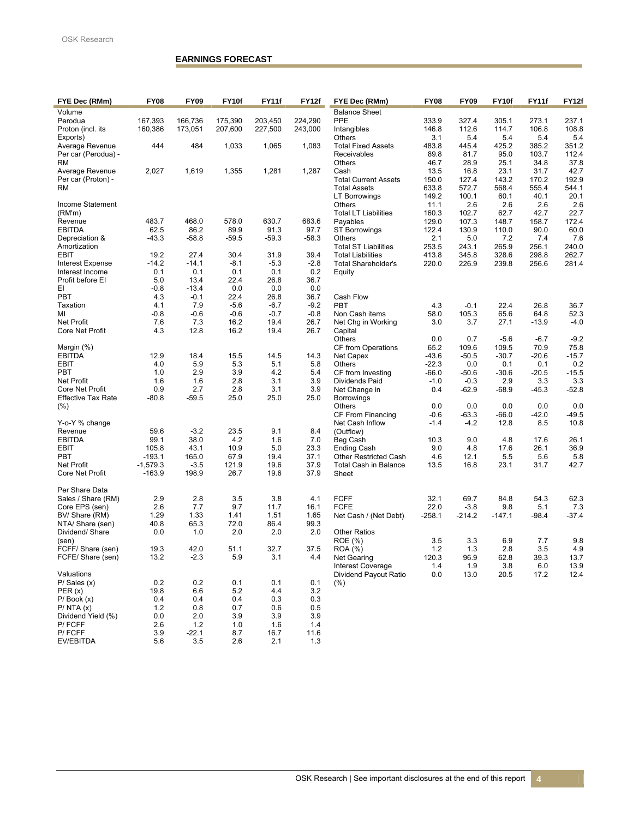### **EARNINGS FORECAST**

| Volume<br><b>Balance Sheet</b><br>175,390<br>224,290<br>PPE<br>327.4<br>273.1<br>237.1<br>Perodua<br>167.393<br>166,736<br>203,450<br>333.9<br>305.1<br>108.8<br>160,386<br>173,051<br>207,600<br>227,500<br>243,000<br>Intangibles<br>146.8<br>112.6<br>114.7<br>106.8<br>Proton (incl. its<br>3.1<br>5.4<br>5.4<br>5.4<br>Others<br>5.4<br>Exports)<br>444<br>484<br>1,033<br>1,083<br>Average Revenue<br>1,065<br><b>Total Fixed Assets</b><br>483.8<br>445.4<br>425.2<br>385.2<br>351.2<br>112.4<br>Per car (Perodua) -<br>Receivables<br>89.8<br>81.7<br>95.0<br>103.7<br>28.9<br>37.8<br><b>RM</b><br>Others<br>46.7<br>25.1<br>34.8<br>2,027<br>1,619<br>1,355<br>1,281<br>1,287<br>23.1<br>31.7<br>42.7<br>Average Revenue<br>Cash<br>13.5<br>16.8<br>127.4<br>143.2<br>192.9<br>Per car (Proton) -<br><b>Total Current Assets</b><br>150.0<br>170.2<br><b>RM</b><br><b>Total Assets</b><br>633.8<br>572.7<br>568.4<br>555.4<br>544.1<br>149.2<br>100.1<br>40.1<br>20.1<br>60.1<br>LT Borrowings<br>Income Statement<br>2.6<br><b>Others</b><br>11.1<br>2.6<br>2.6<br>2.6<br>22.7<br>(RM'm)<br><b>Total LT Liabilities</b><br>160.3<br>102.7<br>62.7<br>42.7<br>483.7<br>468.0<br>578.0<br>630.7<br>683.6<br>148.7<br>172.4<br>Revenue<br>129.0<br>107.3<br>158.7<br>Payables<br><b>EBITDA</b><br>62.5<br>89.9<br>86.2<br>91.3<br>97.7<br>122.4<br>130.9<br>90.0<br>60.0<br><b>ST Borrowings</b><br>110.0<br>$-43.3$<br>$-59.5$<br>$-59.3$<br>$-58.3$<br>2.1<br>5.0<br>7.2<br>7.4<br>7.6<br>$-58.8$<br>Depreciation &<br><b>Others</b><br>240.0<br>Amortization<br><b>Total ST Liabilities</b><br>253.5<br>243.1<br>265.9<br>256.1<br>27.4<br>30.4<br>31.9<br>39.4<br>EBIT<br>19.2<br>262.7<br><b>Total Liabilities</b><br>413.8<br>345.8<br>328.6<br>298.8<br>$-14.2$<br>$-8.1$<br>$-5.3$<br>$-2.8$<br>281.4<br>$-14.1$<br><b>Total Shareholder's</b><br>220.0<br>226.9<br>239.8<br>256.6<br>Interest Expense<br>0.1<br>0.1<br>0.1<br>0.1<br>0.2<br>Interest Income<br>Equity<br>22.4<br>26.8<br>Profit before EI<br>5.0<br>13.4<br>36.7<br>EI<br>0.0<br>0.0<br>$-0.8$<br>$-13.4$<br>0.0<br>PBT<br>22.4<br>26.8<br>4.3<br>$-0.1$<br>36.7<br>Cash Flow<br>$-5.6$<br>$-6.7$<br>Taxation<br>4.1<br>7.9<br>$-9.2$<br>$-0.1$<br><b>PBT</b><br>4.3<br>22.4<br>26.8<br>36.7<br>$-0.7$<br>65.6<br>52.3<br>MI<br>$-0.8$<br>$-0.6$<br>$-0.6$<br>$-0.8$<br>Non Cash items<br>58.0<br>105.3<br>64.8<br><b>Net Profit</b><br>16.2<br>19.4<br>7.6<br>7.3<br>26.7<br>3.7<br>$-4.0$<br>3.0<br>27.1<br>$-13.9$<br>Net Chg in Working<br>Core Net Profit<br>4.3<br>12.8<br>16.2<br>19.4<br>26.7<br>Capital<br>$-6.7$<br>$-9.2$<br><b>Others</b><br>0.0<br>0.7<br>$-5.6$<br>109.5<br>75.8<br>CF from Operations<br>65.2<br>109.6<br>70.9<br>Margin (%)<br>15.5<br><b>EBITDA</b><br>12.9<br>18.4<br>14.5<br>14.3<br>$-43.6$<br>$-50.5$<br>$-30.7$<br>$-20.6$<br>$-15.7$<br>Net Capex<br>5.9<br>5.3<br>5.1<br>5.8<br>4.0<br>0.2<br>EBIT<br><b>Others</b><br>$-22.3$<br>0.0<br>0.1<br>0.1<br>2.9<br>3.9<br>4.2<br>$-20.5$<br>$-15.5$<br>PBT<br>1.0<br>5.4<br>CF from Investing<br>-66.0<br>$-50.6$<br>$-30.6$<br>2.8<br>3.1<br>Net Profit<br>1.6<br>1.6<br>3.9<br>2.9<br>3.3<br>3.3<br>$-1.0$<br>$-0.3$<br>Dividends Paid<br>0.9<br><b>Core Net Profit</b><br>2.7<br>2.8<br>3.1<br>3.9<br>$-52.8$<br>Net Change in<br>0.4<br>$-62.9$<br>$-68.9$<br>$-45.3$<br>$-80.8$<br>$-59.5$<br>25.0<br>25.0<br>25.0<br><b>Effective Tax Rate</b><br>Borrowings<br>0.0<br>0.0<br>0.0<br>0.0<br>(%)<br>0.0<br>Others<br>$-63.3$<br>$-66.0$<br>$-42.0$<br>$-49.5$<br>CF From Financing<br>$-0.6$<br>Y-o-Y % change<br>$-1.4$<br>$-4.2$<br>12.8<br>8.5<br>10.8<br>Net Cash Inflow<br>59.6<br>$-3.2$<br>23.5<br>9.1<br>8.4<br>Revenue<br>(Outflow)<br>99.1<br>38.0<br>4.2<br>1.6<br><b>EBITDA</b><br>7.0<br>9.0<br>26.1<br>Beg Cash<br>4.8<br>17.6<br>10.3<br>5.0<br>EBIT<br>105.8<br>43.1<br>10.9<br>23.3<br><b>Ending Cash</b><br>9.0<br>4.8<br>17.6<br>26.1<br>36.9<br>$-193.1$<br>165.0<br>67.9<br>19.4<br>37.1<br>5.6<br>5.8<br><b>PBT</b><br><b>Other Restricted Cash</b><br>4.6<br>12.1<br>5.5<br>42.7<br><b>Net Profit</b><br>$-1,579.3$<br>$-3.5$<br>121.9<br>19.6<br>37.9<br><b>Total Cash in Balance</b><br>13.5<br>16.8<br>23.1<br>31.7<br>26.7<br>Core Net Profit<br>$-163.9$<br>198.9<br>19.6<br>37.9<br>Sheet<br>Per Share Data<br>2.9<br>2.8<br>3.5<br>3.8<br><b>FCFF</b><br>32.1<br>69.7<br>84.8<br>54.3<br>62.3<br>Sales / Share (RM)<br>4.1<br>9.7<br>Core EPS (sen)<br>2.6<br>7.7<br>11.7<br>16.1<br><b>FCFE</b><br>22.0<br>$-3.8$<br>9.8<br>5.1<br>7.3<br>BV/ Share (RM)<br>1.29<br>1.33<br>1.41<br>1.51<br>1.65<br>$-258.1$<br>$-147.1$<br>$-98.4$<br>$-37.4$<br>Net Cash / (Net Debt)<br>-214.2<br>72.0<br>86.4<br>40.8<br>65.3<br>99.3<br>NTA/ Share (sen)<br>Dividend/Share<br>0.0<br>1.0<br>2.0<br>2.0<br>2.0<br><b>Other Ratios</b><br>3.3<br>3.5<br>6.9<br>7.7<br>9.8<br>(sen)<br>ROE (%)<br>51.1<br>32.7<br>1.2<br>4.9<br>19.3<br>42.0<br>37.5<br>ROA (%)<br>1.3<br>2.8<br>3.5<br>FCFF/ Share (sen)<br>FCFE/ Share (sen)<br>13.2<br>$-2.3$<br>5.9<br>3.1<br>4.4<br>Net Gearing<br>120.3<br>96.9<br>62.8<br>39.3<br>13.7<br>1.9<br>3.8<br>6.0<br>13.9<br><b>Interest Coverage</b><br>1.4<br>12.4<br>Valuations<br>Dividend Payout Ratio<br>0.0<br>13.0<br>20.5<br>17.2<br>0.2<br>0.2<br>0.1<br>0.1<br>0.1<br>$P/$ Sales $(x)$<br>(%)<br>19.8<br>6.6<br>5.2<br>4.4<br>3.2<br>PER(x)<br>$P/$ Book $(x)$<br>0.4<br>0.3<br>0.3<br>0.4<br>0.4<br>1.2<br>0.8<br>0.7<br>0.6<br>0.5<br>P/NTA(x)<br>Dividend Yield (%)<br>0.0<br>2.0<br>3.9<br>3.9<br>3.9<br>P/FCFF<br>2.6<br>1.2<br>1.0<br>1.6<br>1.4<br>P/FCFF<br>3.9<br>$-22.1$<br>8.7<br>16.7<br>11.6 | FYE Dec (RMm) | <b>FY08</b> | <b>FY09</b> | FY10f | <b>FY11f</b> | FY12f | FYE Dec (RMm) | <b>FY08</b> | <b>FY09</b> | FY10f | FY11f | FY12f |
|-------------------------------------------------------------------------------------------------------------------------------------------------------------------------------------------------------------------------------------------------------------------------------------------------------------------------------------------------------------------------------------------------------------------------------------------------------------------------------------------------------------------------------------------------------------------------------------------------------------------------------------------------------------------------------------------------------------------------------------------------------------------------------------------------------------------------------------------------------------------------------------------------------------------------------------------------------------------------------------------------------------------------------------------------------------------------------------------------------------------------------------------------------------------------------------------------------------------------------------------------------------------------------------------------------------------------------------------------------------------------------------------------------------------------------------------------------------------------------------------------------------------------------------------------------------------------------------------------------------------------------------------------------------------------------------------------------------------------------------------------------------------------------------------------------------------------------------------------------------------------------------------------------------------------------------------------------------------------------------------------------------------------------------------------------------------------------------------------------------------------------------------------------------------------------------------------------------------------------------------------------------------------------------------------------------------------------------------------------------------------------------------------------------------------------------------------------------------------------------------------------------------------------------------------------------------------------------------------------------------------------------------------------------------------------------------------------------------------------------------------------------------------------------------------------------------------------------------------------------------------------------------------------------------------------------------------------------------------------------------------------------------------------------------------------------------------------------------------------------------------------------------------------------------------------------------------------------------------------------------------------------------------------------------------------------------------------------------------------------------------------------------------------------------------------------------------------------------------------------------------------------------------------------------------------------------------------------------------------------------------------------------------------------------------------------------------------------------------------------------------------------------------------------------------------------------------------------------------------------------------------------------------------------------------------------------------------------------------------------------------------------------------------------------------------------------------------------------------------------------------------------------------------------------------------------------------------------------------------------------------------------------------------------------------------------------------------------------------------------------------------------------------------------------------------------------------------------------------------------------------------------------------------------------------------------------------------------------------------------------------------------------------------------------------------------------------------------------------------------------------------------------------------------------------------------------------------------------------------------------------------------------------------------------------------------------------------------------------------------------------------------------------------------------------------------------------------------------------------------------------------------------------------------------------------------------------------------------------------------------------------------------------------------------------------------------------------------------------------------------------------------------------------------------------------------------------------------------------------------------------------------------------------------------------------------------------------------------------------------------------------------------------|---------------|-------------|-------------|-------|--------------|-------|---------------|-------------|-------------|-------|-------|-------|
|                                                                                                                                                                                                                                                                                                                                                                                                                                                                                                                                                                                                                                                                                                                                                                                                                                                                                                                                                                                                                                                                                                                                                                                                                                                                                                                                                                                                                                                                                                                                                                                                                                                                                                                                                                                                                                                                                                                                                                                                                                                                                                                                                                                                                                                                                                                                                                                                                                                                                                                                                                                                                                                                                                                                                                                                                                                                                                                                                                                                                                                                                                                                                                                                                                                                                                                                                                                                                                                                                                                                                                                                                                                                                                                                                                                                                                                                                                                                                                                                                                                                                                                                                                                                                                                                                                                                                                                                                                                                                                                                                                                                                                                                                                                                                                                                                                                                                                                                                                                                                                                                                                                                                                                                                                                                                                                                                                                                                                                                                                                                                                                                                                                 |               |             |             |       |              |       |               |             |             |       |       |       |
|                                                                                                                                                                                                                                                                                                                                                                                                                                                                                                                                                                                                                                                                                                                                                                                                                                                                                                                                                                                                                                                                                                                                                                                                                                                                                                                                                                                                                                                                                                                                                                                                                                                                                                                                                                                                                                                                                                                                                                                                                                                                                                                                                                                                                                                                                                                                                                                                                                                                                                                                                                                                                                                                                                                                                                                                                                                                                                                                                                                                                                                                                                                                                                                                                                                                                                                                                                                                                                                                                                                                                                                                                                                                                                                                                                                                                                                                                                                                                                                                                                                                                                                                                                                                                                                                                                                                                                                                                                                                                                                                                                                                                                                                                                                                                                                                                                                                                                                                                                                                                                                                                                                                                                                                                                                                                                                                                                                                                                                                                                                                                                                                                                                 |               |             |             |       |              |       |               |             |             |       |       |       |
|                                                                                                                                                                                                                                                                                                                                                                                                                                                                                                                                                                                                                                                                                                                                                                                                                                                                                                                                                                                                                                                                                                                                                                                                                                                                                                                                                                                                                                                                                                                                                                                                                                                                                                                                                                                                                                                                                                                                                                                                                                                                                                                                                                                                                                                                                                                                                                                                                                                                                                                                                                                                                                                                                                                                                                                                                                                                                                                                                                                                                                                                                                                                                                                                                                                                                                                                                                                                                                                                                                                                                                                                                                                                                                                                                                                                                                                                                                                                                                                                                                                                                                                                                                                                                                                                                                                                                                                                                                                                                                                                                                                                                                                                                                                                                                                                                                                                                                                                                                                                                                                                                                                                                                                                                                                                                                                                                                                                                                                                                                                                                                                                                                                 |               |             |             |       |              |       |               |             |             |       |       |       |
|                                                                                                                                                                                                                                                                                                                                                                                                                                                                                                                                                                                                                                                                                                                                                                                                                                                                                                                                                                                                                                                                                                                                                                                                                                                                                                                                                                                                                                                                                                                                                                                                                                                                                                                                                                                                                                                                                                                                                                                                                                                                                                                                                                                                                                                                                                                                                                                                                                                                                                                                                                                                                                                                                                                                                                                                                                                                                                                                                                                                                                                                                                                                                                                                                                                                                                                                                                                                                                                                                                                                                                                                                                                                                                                                                                                                                                                                                                                                                                                                                                                                                                                                                                                                                                                                                                                                                                                                                                                                                                                                                                                                                                                                                                                                                                                                                                                                                                                                                                                                                                                                                                                                                                                                                                                                                                                                                                                                                                                                                                                                                                                                                                                 |               |             |             |       |              |       |               |             |             |       |       |       |
|                                                                                                                                                                                                                                                                                                                                                                                                                                                                                                                                                                                                                                                                                                                                                                                                                                                                                                                                                                                                                                                                                                                                                                                                                                                                                                                                                                                                                                                                                                                                                                                                                                                                                                                                                                                                                                                                                                                                                                                                                                                                                                                                                                                                                                                                                                                                                                                                                                                                                                                                                                                                                                                                                                                                                                                                                                                                                                                                                                                                                                                                                                                                                                                                                                                                                                                                                                                                                                                                                                                                                                                                                                                                                                                                                                                                                                                                                                                                                                                                                                                                                                                                                                                                                                                                                                                                                                                                                                                                                                                                                                                                                                                                                                                                                                                                                                                                                                                                                                                                                                                                                                                                                                                                                                                                                                                                                                                                                                                                                                                                                                                                                                                 |               |             |             |       |              |       |               |             |             |       |       |       |
|                                                                                                                                                                                                                                                                                                                                                                                                                                                                                                                                                                                                                                                                                                                                                                                                                                                                                                                                                                                                                                                                                                                                                                                                                                                                                                                                                                                                                                                                                                                                                                                                                                                                                                                                                                                                                                                                                                                                                                                                                                                                                                                                                                                                                                                                                                                                                                                                                                                                                                                                                                                                                                                                                                                                                                                                                                                                                                                                                                                                                                                                                                                                                                                                                                                                                                                                                                                                                                                                                                                                                                                                                                                                                                                                                                                                                                                                                                                                                                                                                                                                                                                                                                                                                                                                                                                                                                                                                                                                                                                                                                                                                                                                                                                                                                                                                                                                                                                                                                                                                                                                                                                                                                                                                                                                                                                                                                                                                                                                                                                                                                                                                                                 |               |             |             |       |              |       |               |             |             |       |       |       |
|                                                                                                                                                                                                                                                                                                                                                                                                                                                                                                                                                                                                                                                                                                                                                                                                                                                                                                                                                                                                                                                                                                                                                                                                                                                                                                                                                                                                                                                                                                                                                                                                                                                                                                                                                                                                                                                                                                                                                                                                                                                                                                                                                                                                                                                                                                                                                                                                                                                                                                                                                                                                                                                                                                                                                                                                                                                                                                                                                                                                                                                                                                                                                                                                                                                                                                                                                                                                                                                                                                                                                                                                                                                                                                                                                                                                                                                                                                                                                                                                                                                                                                                                                                                                                                                                                                                                                                                                                                                                                                                                                                                                                                                                                                                                                                                                                                                                                                                                                                                                                                                                                                                                                                                                                                                                                                                                                                                                                                                                                                                                                                                                                                                 |               |             |             |       |              |       |               |             |             |       |       |       |
|                                                                                                                                                                                                                                                                                                                                                                                                                                                                                                                                                                                                                                                                                                                                                                                                                                                                                                                                                                                                                                                                                                                                                                                                                                                                                                                                                                                                                                                                                                                                                                                                                                                                                                                                                                                                                                                                                                                                                                                                                                                                                                                                                                                                                                                                                                                                                                                                                                                                                                                                                                                                                                                                                                                                                                                                                                                                                                                                                                                                                                                                                                                                                                                                                                                                                                                                                                                                                                                                                                                                                                                                                                                                                                                                                                                                                                                                                                                                                                                                                                                                                                                                                                                                                                                                                                                                                                                                                                                                                                                                                                                                                                                                                                                                                                                                                                                                                                                                                                                                                                                                                                                                                                                                                                                                                                                                                                                                                                                                                                                                                                                                                                                 |               |             |             |       |              |       |               |             |             |       |       |       |
|                                                                                                                                                                                                                                                                                                                                                                                                                                                                                                                                                                                                                                                                                                                                                                                                                                                                                                                                                                                                                                                                                                                                                                                                                                                                                                                                                                                                                                                                                                                                                                                                                                                                                                                                                                                                                                                                                                                                                                                                                                                                                                                                                                                                                                                                                                                                                                                                                                                                                                                                                                                                                                                                                                                                                                                                                                                                                                                                                                                                                                                                                                                                                                                                                                                                                                                                                                                                                                                                                                                                                                                                                                                                                                                                                                                                                                                                                                                                                                                                                                                                                                                                                                                                                                                                                                                                                                                                                                                                                                                                                                                                                                                                                                                                                                                                                                                                                                                                                                                                                                                                                                                                                                                                                                                                                                                                                                                                                                                                                                                                                                                                                                                 |               |             |             |       |              |       |               |             |             |       |       |       |
|                                                                                                                                                                                                                                                                                                                                                                                                                                                                                                                                                                                                                                                                                                                                                                                                                                                                                                                                                                                                                                                                                                                                                                                                                                                                                                                                                                                                                                                                                                                                                                                                                                                                                                                                                                                                                                                                                                                                                                                                                                                                                                                                                                                                                                                                                                                                                                                                                                                                                                                                                                                                                                                                                                                                                                                                                                                                                                                                                                                                                                                                                                                                                                                                                                                                                                                                                                                                                                                                                                                                                                                                                                                                                                                                                                                                                                                                                                                                                                                                                                                                                                                                                                                                                                                                                                                                                                                                                                                                                                                                                                                                                                                                                                                                                                                                                                                                                                                                                                                                                                                                                                                                                                                                                                                                                                                                                                                                                                                                                                                                                                                                                                                 |               |             |             |       |              |       |               |             |             |       |       |       |
|                                                                                                                                                                                                                                                                                                                                                                                                                                                                                                                                                                                                                                                                                                                                                                                                                                                                                                                                                                                                                                                                                                                                                                                                                                                                                                                                                                                                                                                                                                                                                                                                                                                                                                                                                                                                                                                                                                                                                                                                                                                                                                                                                                                                                                                                                                                                                                                                                                                                                                                                                                                                                                                                                                                                                                                                                                                                                                                                                                                                                                                                                                                                                                                                                                                                                                                                                                                                                                                                                                                                                                                                                                                                                                                                                                                                                                                                                                                                                                                                                                                                                                                                                                                                                                                                                                                                                                                                                                                                                                                                                                                                                                                                                                                                                                                                                                                                                                                                                                                                                                                                                                                                                                                                                                                                                                                                                                                                                                                                                                                                                                                                                                                 |               |             |             |       |              |       |               |             |             |       |       |       |
|                                                                                                                                                                                                                                                                                                                                                                                                                                                                                                                                                                                                                                                                                                                                                                                                                                                                                                                                                                                                                                                                                                                                                                                                                                                                                                                                                                                                                                                                                                                                                                                                                                                                                                                                                                                                                                                                                                                                                                                                                                                                                                                                                                                                                                                                                                                                                                                                                                                                                                                                                                                                                                                                                                                                                                                                                                                                                                                                                                                                                                                                                                                                                                                                                                                                                                                                                                                                                                                                                                                                                                                                                                                                                                                                                                                                                                                                                                                                                                                                                                                                                                                                                                                                                                                                                                                                                                                                                                                                                                                                                                                                                                                                                                                                                                                                                                                                                                                                                                                                                                                                                                                                                                                                                                                                                                                                                                                                                                                                                                                                                                                                                                                 |               |             |             |       |              |       |               |             |             |       |       |       |
|                                                                                                                                                                                                                                                                                                                                                                                                                                                                                                                                                                                                                                                                                                                                                                                                                                                                                                                                                                                                                                                                                                                                                                                                                                                                                                                                                                                                                                                                                                                                                                                                                                                                                                                                                                                                                                                                                                                                                                                                                                                                                                                                                                                                                                                                                                                                                                                                                                                                                                                                                                                                                                                                                                                                                                                                                                                                                                                                                                                                                                                                                                                                                                                                                                                                                                                                                                                                                                                                                                                                                                                                                                                                                                                                                                                                                                                                                                                                                                                                                                                                                                                                                                                                                                                                                                                                                                                                                                                                                                                                                                                                                                                                                                                                                                                                                                                                                                                                                                                                                                                                                                                                                                                                                                                                                                                                                                                                                                                                                                                                                                                                                                                 |               |             |             |       |              |       |               |             |             |       |       |       |
|                                                                                                                                                                                                                                                                                                                                                                                                                                                                                                                                                                                                                                                                                                                                                                                                                                                                                                                                                                                                                                                                                                                                                                                                                                                                                                                                                                                                                                                                                                                                                                                                                                                                                                                                                                                                                                                                                                                                                                                                                                                                                                                                                                                                                                                                                                                                                                                                                                                                                                                                                                                                                                                                                                                                                                                                                                                                                                                                                                                                                                                                                                                                                                                                                                                                                                                                                                                                                                                                                                                                                                                                                                                                                                                                                                                                                                                                                                                                                                                                                                                                                                                                                                                                                                                                                                                                                                                                                                                                                                                                                                                                                                                                                                                                                                                                                                                                                                                                                                                                                                                                                                                                                                                                                                                                                                                                                                                                                                                                                                                                                                                                                                                 |               |             |             |       |              |       |               |             |             |       |       |       |
|                                                                                                                                                                                                                                                                                                                                                                                                                                                                                                                                                                                                                                                                                                                                                                                                                                                                                                                                                                                                                                                                                                                                                                                                                                                                                                                                                                                                                                                                                                                                                                                                                                                                                                                                                                                                                                                                                                                                                                                                                                                                                                                                                                                                                                                                                                                                                                                                                                                                                                                                                                                                                                                                                                                                                                                                                                                                                                                                                                                                                                                                                                                                                                                                                                                                                                                                                                                                                                                                                                                                                                                                                                                                                                                                                                                                                                                                                                                                                                                                                                                                                                                                                                                                                                                                                                                                                                                                                                                                                                                                                                                                                                                                                                                                                                                                                                                                                                                                                                                                                                                                                                                                                                                                                                                                                                                                                                                                                                                                                                                                                                                                                                                 |               |             |             |       |              |       |               |             |             |       |       |       |
|                                                                                                                                                                                                                                                                                                                                                                                                                                                                                                                                                                                                                                                                                                                                                                                                                                                                                                                                                                                                                                                                                                                                                                                                                                                                                                                                                                                                                                                                                                                                                                                                                                                                                                                                                                                                                                                                                                                                                                                                                                                                                                                                                                                                                                                                                                                                                                                                                                                                                                                                                                                                                                                                                                                                                                                                                                                                                                                                                                                                                                                                                                                                                                                                                                                                                                                                                                                                                                                                                                                                                                                                                                                                                                                                                                                                                                                                                                                                                                                                                                                                                                                                                                                                                                                                                                                                                                                                                                                                                                                                                                                                                                                                                                                                                                                                                                                                                                                                                                                                                                                                                                                                                                                                                                                                                                                                                                                                                                                                                                                                                                                                                                                 |               |             |             |       |              |       |               |             |             |       |       |       |
|                                                                                                                                                                                                                                                                                                                                                                                                                                                                                                                                                                                                                                                                                                                                                                                                                                                                                                                                                                                                                                                                                                                                                                                                                                                                                                                                                                                                                                                                                                                                                                                                                                                                                                                                                                                                                                                                                                                                                                                                                                                                                                                                                                                                                                                                                                                                                                                                                                                                                                                                                                                                                                                                                                                                                                                                                                                                                                                                                                                                                                                                                                                                                                                                                                                                                                                                                                                                                                                                                                                                                                                                                                                                                                                                                                                                                                                                                                                                                                                                                                                                                                                                                                                                                                                                                                                                                                                                                                                                                                                                                                                                                                                                                                                                                                                                                                                                                                                                                                                                                                                                                                                                                                                                                                                                                                                                                                                                                                                                                                                                                                                                                                                 |               |             |             |       |              |       |               |             |             |       |       |       |
|                                                                                                                                                                                                                                                                                                                                                                                                                                                                                                                                                                                                                                                                                                                                                                                                                                                                                                                                                                                                                                                                                                                                                                                                                                                                                                                                                                                                                                                                                                                                                                                                                                                                                                                                                                                                                                                                                                                                                                                                                                                                                                                                                                                                                                                                                                                                                                                                                                                                                                                                                                                                                                                                                                                                                                                                                                                                                                                                                                                                                                                                                                                                                                                                                                                                                                                                                                                                                                                                                                                                                                                                                                                                                                                                                                                                                                                                                                                                                                                                                                                                                                                                                                                                                                                                                                                                                                                                                                                                                                                                                                                                                                                                                                                                                                                                                                                                                                                                                                                                                                                                                                                                                                                                                                                                                                                                                                                                                                                                                                                                                                                                                                                 |               |             |             |       |              |       |               |             |             |       |       |       |
|                                                                                                                                                                                                                                                                                                                                                                                                                                                                                                                                                                                                                                                                                                                                                                                                                                                                                                                                                                                                                                                                                                                                                                                                                                                                                                                                                                                                                                                                                                                                                                                                                                                                                                                                                                                                                                                                                                                                                                                                                                                                                                                                                                                                                                                                                                                                                                                                                                                                                                                                                                                                                                                                                                                                                                                                                                                                                                                                                                                                                                                                                                                                                                                                                                                                                                                                                                                                                                                                                                                                                                                                                                                                                                                                                                                                                                                                                                                                                                                                                                                                                                                                                                                                                                                                                                                                                                                                                                                                                                                                                                                                                                                                                                                                                                                                                                                                                                                                                                                                                                                                                                                                                                                                                                                                                                                                                                                                                                                                                                                                                                                                                                                 |               |             |             |       |              |       |               |             |             |       |       |       |
|                                                                                                                                                                                                                                                                                                                                                                                                                                                                                                                                                                                                                                                                                                                                                                                                                                                                                                                                                                                                                                                                                                                                                                                                                                                                                                                                                                                                                                                                                                                                                                                                                                                                                                                                                                                                                                                                                                                                                                                                                                                                                                                                                                                                                                                                                                                                                                                                                                                                                                                                                                                                                                                                                                                                                                                                                                                                                                                                                                                                                                                                                                                                                                                                                                                                                                                                                                                                                                                                                                                                                                                                                                                                                                                                                                                                                                                                                                                                                                                                                                                                                                                                                                                                                                                                                                                                                                                                                                                                                                                                                                                                                                                                                                                                                                                                                                                                                                                                                                                                                                                                                                                                                                                                                                                                                                                                                                                                                                                                                                                                                                                                                                                 |               |             |             |       |              |       |               |             |             |       |       |       |
|                                                                                                                                                                                                                                                                                                                                                                                                                                                                                                                                                                                                                                                                                                                                                                                                                                                                                                                                                                                                                                                                                                                                                                                                                                                                                                                                                                                                                                                                                                                                                                                                                                                                                                                                                                                                                                                                                                                                                                                                                                                                                                                                                                                                                                                                                                                                                                                                                                                                                                                                                                                                                                                                                                                                                                                                                                                                                                                                                                                                                                                                                                                                                                                                                                                                                                                                                                                                                                                                                                                                                                                                                                                                                                                                                                                                                                                                                                                                                                                                                                                                                                                                                                                                                                                                                                                                                                                                                                                                                                                                                                                                                                                                                                                                                                                                                                                                                                                                                                                                                                                                                                                                                                                                                                                                                                                                                                                                                                                                                                                                                                                                                                                 |               |             |             |       |              |       |               |             |             |       |       |       |
|                                                                                                                                                                                                                                                                                                                                                                                                                                                                                                                                                                                                                                                                                                                                                                                                                                                                                                                                                                                                                                                                                                                                                                                                                                                                                                                                                                                                                                                                                                                                                                                                                                                                                                                                                                                                                                                                                                                                                                                                                                                                                                                                                                                                                                                                                                                                                                                                                                                                                                                                                                                                                                                                                                                                                                                                                                                                                                                                                                                                                                                                                                                                                                                                                                                                                                                                                                                                                                                                                                                                                                                                                                                                                                                                                                                                                                                                                                                                                                                                                                                                                                                                                                                                                                                                                                                                                                                                                                                                                                                                                                                                                                                                                                                                                                                                                                                                                                                                                                                                                                                                                                                                                                                                                                                                                                                                                                                                                                                                                                                                                                                                                                                 |               |             |             |       |              |       |               |             |             |       |       |       |
|                                                                                                                                                                                                                                                                                                                                                                                                                                                                                                                                                                                                                                                                                                                                                                                                                                                                                                                                                                                                                                                                                                                                                                                                                                                                                                                                                                                                                                                                                                                                                                                                                                                                                                                                                                                                                                                                                                                                                                                                                                                                                                                                                                                                                                                                                                                                                                                                                                                                                                                                                                                                                                                                                                                                                                                                                                                                                                                                                                                                                                                                                                                                                                                                                                                                                                                                                                                                                                                                                                                                                                                                                                                                                                                                                                                                                                                                                                                                                                                                                                                                                                                                                                                                                                                                                                                                                                                                                                                                                                                                                                                                                                                                                                                                                                                                                                                                                                                                                                                                                                                                                                                                                                                                                                                                                                                                                                                                                                                                                                                                                                                                                                                 |               |             |             |       |              |       |               |             |             |       |       |       |
|                                                                                                                                                                                                                                                                                                                                                                                                                                                                                                                                                                                                                                                                                                                                                                                                                                                                                                                                                                                                                                                                                                                                                                                                                                                                                                                                                                                                                                                                                                                                                                                                                                                                                                                                                                                                                                                                                                                                                                                                                                                                                                                                                                                                                                                                                                                                                                                                                                                                                                                                                                                                                                                                                                                                                                                                                                                                                                                                                                                                                                                                                                                                                                                                                                                                                                                                                                                                                                                                                                                                                                                                                                                                                                                                                                                                                                                                                                                                                                                                                                                                                                                                                                                                                                                                                                                                                                                                                                                                                                                                                                                                                                                                                                                                                                                                                                                                                                                                                                                                                                                                                                                                                                                                                                                                                                                                                                                                                                                                                                                                                                                                                                                 |               |             |             |       |              |       |               |             |             |       |       |       |
|                                                                                                                                                                                                                                                                                                                                                                                                                                                                                                                                                                                                                                                                                                                                                                                                                                                                                                                                                                                                                                                                                                                                                                                                                                                                                                                                                                                                                                                                                                                                                                                                                                                                                                                                                                                                                                                                                                                                                                                                                                                                                                                                                                                                                                                                                                                                                                                                                                                                                                                                                                                                                                                                                                                                                                                                                                                                                                                                                                                                                                                                                                                                                                                                                                                                                                                                                                                                                                                                                                                                                                                                                                                                                                                                                                                                                                                                                                                                                                                                                                                                                                                                                                                                                                                                                                                                                                                                                                                                                                                                                                                                                                                                                                                                                                                                                                                                                                                                                                                                                                                                                                                                                                                                                                                                                                                                                                                                                                                                                                                                                                                                                                                 |               |             |             |       |              |       |               |             |             |       |       |       |
|                                                                                                                                                                                                                                                                                                                                                                                                                                                                                                                                                                                                                                                                                                                                                                                                                                                                                                                                                                                                                                                                                                                                                                                                                                                                                                                                                                                                                                                                                                                                                                                                                                                                                                                                                                                                                                                                                                                                                                                                                                                                                                                                                                                                                                                                                                                                                                                                                                                                                                                                                                                                                                                                                                                                                                                                                                                                                                                                                                                                                                                                                                                                                                                                                                                                                                                                                                                                                                                                                                                                                                                                                                                                                                                                                                                                                                                                                                                                                                                                                                                                                                                                                                                                                                                                                                                                                                                                                                                                                                                                                                                                                                                                                                                                                                                                                                                                                                                                                                                                                                                                                                                                                                                                                                                                                                                                                                                                                                                                                                                                                                                                                                                 |               |             |             |       |              |       |               |             |             |       |       |       |
|                                                                                                                                                                                                                                                                                                                                                                                                                                                                                                                                                                                                                                                                                                                                                                                                                                                                                                                                                                                                                                                                                                                                                                                                                                                                                                                                                                                                                                                                                                                                                                                                                                                                                                                                                                                                                                                                                                                                                                                                                                                                                                                                                                                                                                                                                                                                                                                                                                                                                                                                                                                                                                                                                                                                                                                                                                                                                                                                                                                                                                                                                                                                                                                                                                                                                                                                                                                                                                                                                                                                                                                                                                                                                                                                                                                                                                                                                                                                                                                                                                                                                                                                                                                                                                                                                                                                                                                                                                                                                                                                                                                                                                                                                                                                                                                                                                                                                                                                                                                                                                                                                                                                                                                                                                                                                                                                                                                                                                                                                                                                                                                                                                                 |               |             |             |       |              |       |               |             |             |       |       |       |
|                                                                                                                                                                                                                                                                                                                                                                                                                                                                                                                                                                                                                                                                                                                                                                                                                                                                                                                                                                                                                                                                                                                                                                                                                                                                                                                                                                                                                                                                                                                                                                                                                                                                                                                                                                                                                                                                                                                                                                                                                                                                                                                                                                                                                                                                                                                                                                                                                                                                                                                                                                                                                                                                                                                                                                                                                                                                                                                                                                                                                                                                                                                                                                                                                                                                                                                                                                                                                                                                                                                                                                                                                                                                                                                                                                                                                                                                                                                                                                                                                                                                                                                                                                                                                                                                                                                                                                                                                                                                                                                                                                                                                                                                                                                                                                                                                                                                                                                                                                                                                                                                                                                                                                                                                                                                                                                                                                                                                                                                                                                                                                                                                                                 |               |             |             |       |              |       |               |             |             |       |       |       |
|                                                                                                                                                                                                                                                                                                                                                                                                                                                                                                                                                                                                                                                                                                                                                                                                                                                                                                                                                                                                                                                                                                                                                                                                                                                                                                                                                                                                                                                                                                                                                                                                                                                                                                                                                                                                                                                                                                                                                                                                                                                                                                                                                                                                                                                                                                                                                                                                                                                                                                                                                                                                                                                                                                                                                                                                                                                                                                                                                                                                                                                                                                                                                                                                                                                                                                                                                                                                                                                                                                                                                                                                                                                                                                                                                                                                                                                                                                                                                                                                                                                                                                                                                                                                                                                                                                                                                                                                                                                                                                                                                                                                                                                                                                                                                                                                                                                                                                                                                                                                                                                                                                                                                                                                                                                                                                                                                                                                                                                                                                                                                                                                                                                 |               |             |             |       |              |       |               |             |             |       |       |       |
|                                                                                                                                                                                                                                                                                                                                                                                                                                                                                                                                                                                                                                                                                                                                                                                                                                                                                                                                                                                                                                                                                                                                                                                                                                                                                                                                                                                                                                                                                                                                                                                                                                                                                                                                                                                                                                                                                                                                                                                                                                                                                                                                                                                                                                                                                                                                                                                                                                                                                                                                                                                                                                                                                                                                                                                                                                                                                                                                                                                                                                                                                                                                                                                                                                                                                                                                                                                                                                                                                                                                                                                                                                                                                                                                                                                                                                                                                                                                                                                                                                                                                                                                                                                                                                                                                                                                                                                                                                                                                                                                                                                                                                                                                                                                                                                                                                                                                                                                                                                                                                                                                                                                                                                                                                                                                                                                                                                                                                                                                                                                                                                                                                                 |               |             |             |       |              |       |               |             |             |       |       |       |
|                                                                                                                                                                                                                                                                                                                                                                                                                                                                                                                                                                                                                                                                                                                                                                                                                                                                                                                                                                                                                                                                                                                                                                                                                                                                                                                                                                                                                                                                                                                                                                                                                                                                                                                                                                                                                                                                                                                                                                                                                                                                                                                                                                                                                                                                                                                                                                                                                                                                                                                                                                                                                                                                                                                                                                                                                                                                                                                                                                                                                                                                                                                                                                                                                                                                                                                                                                                                                                                                                                                                                                                                                                                                                                                                                                                                                                                                                                                                                                                                                                                                                                                                                                                                                                                                                                                                                                                                                                                                                                                                                                                                                                                                                                                                                                                                                                                                                                                                                                                                                                                                                                                                                                                                                                                                                                                                                                                                                                                                                                                                                                                                                                                 |               |             |             |       |              |       |               |             |             |       |       |       |
|                                                                                                                                                                                                                                                                                                                                                                                                                                                                                                                                                                                                                                                                                                                                                                                                                                                                                                                                                                                                                                                                                                                                                                                                                                                                                                                                                                                                                                                                                                                                                                                                                                                                                                                                                                                                                                                                                                                                                                                                                                                                                                                                                                                                                                                                                                                                                                                                                                                                                                                                                                                                                                                                                                                                                                                                                                                                                                                                                                                                                                                                                                                                                                                                                                                                                                                                                                                                                                                                                                                                                                                                                                                                                                                                                                                                                                                                                                                                                                                                                                                                                                                                                                                                                                                                                                                                                                                                                                                                                                                                                                                                                                                                                                                                                                                                                                                                                                                                                                                                                                                                                                                                                                                                                                                                                                                                                                                                                                                                                                                                                                                                                                                 |               |             |             |       |              |       |               |             |             |       |       |       |
|                                                                                                                                                                                                                                                                                                                                                                                                                                                                                                                                                                                                                                                                                                                                                                                                                                                                                                                                                                                                                                                                                                                                                                                                                                                                                                                                                                                                                                                                                                                                                                                                                                                                                                                                                                                                                                                                                                                                                                                                                                                                                                                                                                                                                                                                                                                                                                                                                                                                                                                                                                                                                                                                                                                                                                                                                                                                                                                                                                                                                                                                                                                                                                                                                                                                                                                                                                                                                                                                                                                                                                                                                                                                                                                                                                                                                                                                                                                                                                                                                                                                                                                                                                                                                                                                                                                                                                                                                                                                                                                                                                                                                                                                                                                                                                                                                                                                                                                                                                                                                                                                                                                                                                                                                                                                                                                                                                                                                                                                                                                                                                                                                                                 |               |             |             |       |              |       |               |             |             |       |       |       |
|                                                                                                                                                                                                                                                                                                                                                                                                                                                                                                                                                                                                                                                                                                                                                                                                                                                                                                                                                                                                                                                                                                                                                                                                                                                                                                                                                                                                                                                                                                                                                                                                                                                                                                                                                                                                                                                                                                                                                                                                                                                                                                                                                                                                                                                                                                                                                                                                                                                                                                                                                                                                                                                                                                                                                                                                                                                                                                                                                                                                                                                                                                                                                                                                                                                                                                                                                                                                                                                                                                                                                                                                                                                                                                                                                                                                                                                                                                                                                                                                                                                                                                                                                                                                                                                                                                                                                                                                                                                                                                                                                                                                                                                                                                                                                                                                                                                                                                                                                                                                                                                                                                                                                                                                                                                                                                                                                                                                                                                                                                                                                                                                                                                 |               |             |             |       |              |       |               |             |             |       |       |       |
|                                                                                                                                                                                                                                                                                                                                                                                                                                                                                                                                                                                                                                                                                                                                                                                                                                                                                                                                                                                                                                                                                                                                                                                                                                                                                                                                                                                                                                                                                                                                                                                                                                                                                                                                                                                                                                                                                                                                                                                                                                                                                                                                                                                                                                                                                                                                                                                                                                                                                                                                                                                                                                                                                                                                                                                                                                                                                                                                                                                                                                                                                                                                                                                                                                                                                                                                                                                                                                                                                                                                                                                                                                                                                                                                                                                                                                                                                                                                                                                                                                                                                                                                                                                                                                                                                                                                                                                                                                                                                                                                                                                                                                                                                                                                                                                                                                                                                                                                                                                                                                                                                                                                                                                                                                                                                                                                                                                                                                                                                                                                                                                                                                                 |               |             |             |       |              |       |               |             |             |       |       |       |
|                                                                                                                                                                                                                                                                                                                                                                                                                                                                                                                                                                                                                                                                                                                                                                                                                                                                                                                                                                                                                                                                                                                                                                                                                                                                                                                                                                                                                                                                                                                                                                                                                                                                                                                                                                                                                                                                                                                                                                                                                                                                                                                                                                                                                                                                                                                                                                                                                                                                                                                                                                                                                                                                                                                                                                                                                                                                                                                                                                                                                                                                                                                                                                                                                                                                                                                                                                                                                                                                                                                                                                                                                                                                                                                                                                                                                                                                                                                                                                                                                                                                                                                                                                                                                                                                                                                                                                                                                                                                                                                                                                                                                                                                                                                                                                                                                                                                                                                                                                                                                                                                                                                                                                                                                                                                                                                                                                                                                                                                                                                                                                                                                                                 |               |             |             |       |              |       |               |             |             |       |       |       |
|                                                                                                                                                                                                                                                                                                                                                                                                                                                                                                                                                                                                                                                                                                                                                                                                                                                                                                                                                                                                                                                                                                                                                                                                                                                                                                                                                                                                                                                                                                                                                                                                                                                                                                                                                                                                                                                                                                                                                                                                                                                                                                                                                                                                                                                                                                                                                                                                                                                                                                                                                                                                                                                                                                                                                                                                                                                                                                                                                                                                                                                                                                                                                                                                                                                                                                                                                                                                                                                                                                                                                                                                                                                                                                                                                                                                                                                                                                                                                                                                                                                                                                                                                                                                                                                                                                                                                                                                                                                                                                                                                                                                                                                                                                                                                                                                                                                                                                                                                                                                                                                                                                                                                                                                                                                                                                                                                                                                                                                                                                                                                                                                                                                 |               |             |             |       |              |       |               |             |             |       |       |       |
|                                                                                                                                                                                                                                                                                                                                                                                                                                                                                                                                                                                                                                                                                                                                                                                                                                                                                                                                                                                                                                                                                                                                                                                                                                                                                                                                                                                                                                                                                                                                                                                                                                                                                                                                                                                                                                                                                                                                                                                                                                                                                                                                                                                                                                                                                                                                                                                                                                                                                                                                                                                                                                                                                                                                                                                                                                                                                                                                                                                                                                                                                                                                                                                                                                                                                                                                                                                                                                                                                                                                                                                                                                                                                                                                                                                                                                                                                                                                                                                                                                                                                                                                                                                                                                                                                                                                                                                                                                                                                                                                                                                                                                                                                                                                                                                                                                                                                                                                                                                                                                                                                                                                                                                                                                                                                                                                                                                                                                                                                                                                                                                                                                                 |               |             |             |       |              |       |               |             |             |       |       |       |
|                                                                                                                                                                                                                                                                                                                                                                                                                                                                                                                                                                                                                                                                                                                                                                                                                                                                                                                                                                                                                                                                                                                                                                                                                                                                                                                                                                                                                                                                                                                                                                                                                                                                                                                                                                                                                                                                                                                                                                                                                                                                                                                                                                                                                                                                                                                                                                                                                                                                                                                                                                                                                                                                                                                                                                                                                                                                                                                                                                                                                                                                                                                                                                                                                                                                                                                                                                                                                                                                                                                                                                                                                                                                                                                                                                                                                                                                                                                                                                                                                                                                                                                                                                                                                                                                                                                                                                                                                                                                                                                                                                                                                                                                                                                                                                                                                                                                                                                                                                                                                                                                                                                                                                                                                                                                                                                                                                                                                                                                                                                                                                                                                                                 |               |             |             |       |              |       |               |             |             |       |       |       |
|                                                                                                                                                                                                                                                                                                                                                                                                                                                                                                                                                                                                                                                                                                                                                                                                                                                                                                                                                                                                                                                                                                                                                                                                                                                                                                                                                                                                                                                                                                                                                                                                                                                                                                                                                                                                                                                                                                                                                                                                                                                                                                                                                                                                                                                                                                                                                                                                                                                                                                                                                                                                                                                                                                                                                                                                                                                                                                                                                                                                                                                                                                                                                                                                                                                                                                                                                                                                                                                                                                                                                                                                                                                                                                                                                                                                                                                                                                                                                                                                                                                                                                                                                                                                                                                                                                                                                                                                                                                                                                                                                                                                                                                                                                                                                                                                                                                                                                                                                                                                                                                                                                                                                                                                                                                                                                                                                                                                                                                                                                                                                                                                                                                 |               |             |             |       |              |       |               |             |             |       |       |       |
|                                                                                                                                                                                                                                                                                                                                                                                                                                                                                                                                                                                                                                                                                                                                                                                                                                                                                                                                                                                                                                                                                                                                                                                                                                                                                                                                                                                                                                                                                                                                                                                                                                                                                                                                                                                                                                                                                                                                                                                                                                                                                                                                                                                                                                                                                                                                                                                                                                                                                                                                                                                                                                                                                                                                                                                                                                                                                                                                                                                                                                                                                                                                                                                                                                                                                                                                                                                                                                                                                                                                                                                                                                                                                                                                                                                                                                                                                                                                                                                                                                                                                                                                                                                                                                                                                                                                                                                                                                                                                                                                                                                                                                                                                                                                                                                                                                                                                                                                                                                                                                                                                                                                                                                                                                                                                                                                                                                                                                                                                                                                                                                                                                                 |               |             |             |       |              |       |               |             |             |       |       |       |
|                                                                                                                                                                                                                                                                                                                                                                                                                                                                                                                                                                                                                                                                                                                                                                                                                                                                                                                                                                                                                                                                                                                                                                                                                                                                                                                                                                                                                                                                                                                                                                                                                                                                                                                                                                                                                                                                                                                                                                                                                                                                                                                                                                                                                                                                                                                                                                                                                                                                                                                                                                                                                                                                                                                                                                                                                                                                                                                                                                                                                                                                                                                                                                                                                                                                                                                                                                                                                                                                                                                                                                                                                                                                                                                                                                                                                                                                                                                                                                                                                                                                                                                                                                                                                                                                                                                                                                                                                                                                                                                                                                                                                                                                                                                                                                                                                                                                                                                                                                                                                                                                                                                                                                                                                                                                                                                                                                                                                                                                                                                                                                                                                                                 |               |             |             |       |              |       |               |             |             |       |       |       |
|                                                                                                                                                                                                                                                                                                                                                                                                                                                                                                                                                                                                                                                                                                                                                                                                                                                                                                                                                                                                                                                                                                                                                                                                                                                                                                                                                                                                                                                                                                                                                                                                                                                                                                                                                                                                                                                                                                                                                                                                                                                                                                                                                                                                                                                                                                                                                                                                                                                                                                                                                                                                                                                                                                                                                                                                                                                                                                                                                                                                                                                                                                                                                                                                                                                                                                                                                                                                                                                                                                                                                                                                                                                                                                                                                                                                                                                                                                                                                                                                                                                                                                                                                                                                                                                                                                                                                                                                                                                                                                                                                                                                                                                                                                                                                                                                                                                                                                                                                                                                                                                                                                                                                                                                                                                                                                                                                                                                                                                                                                                                                                                                                                                 |               |             |             |       |              |       |               |             |             |       |       |       |
|                                                                                                                                                                                                                                                                                                                                                                                                                                                                                                                                                                                                                                                                                                                                                                                                                                                                                                                                                                                                                                                                                                                                                                                                                                                                                                                                                                                                                                                                                                                                                                                                                                                                                                                                                                                                                                                                                                                                                                                                                                                                                                                                                                                                                                                                                                                                                                                                                                                                                                                                                                                                                                                                                                                                                                                                                                                                                                                                                                                                                                                                                                                                                                                                                                                                                                                                                                                                                                                                                                                                                                                                                                                                                                                                                                                                                                                                                                                                                                                                                                                                                                                                                                                                                                                                                                                                                                                                                                                                                                                                                                                                                                                                                                                                                                                                                                                                                                                                                                                                                                                                                                                                                                                                                                                                                                                                                                                                                                                                                                                                                                                                                                                 |               |             |             |       |              |       |               |             |             |       |       |       |
|                                                                                                                                                                                                                                                                                                                                                                                                                                                                                                                                                                                                                                                                                                                                                                                                                                                                                                                                                                                                                                                                                                                                                                                                                                                                                                                                                                                                                                                                                                                                                                                                                                                                                                                                                                                                                                                                                                                                                                                                                                                                                                                                                                                                                                                                                                                                                                                                                                                                                                                                                                                                                                                                                                                                                                                                                                                                                                                                                                                                                                                                                                                                                                                                                                                                                                                                                                                                                                                                                                                                                                                                                                                                                                                                                                                                                                                                                                                                                                                                                                                                                                                                                                                                                                                                                                                                                                                                                                                                                                                                                                                                                                                                                                                                                                                                                                                                                                                                                                                                                                                                                                                                                                                                                                                                                                                                                                                                                                                                                                                                                                                                                                                 |               |             |             |       |              |       |               |             |             |       |       |       |
|                                                                                                                                                                                                                                                                                                                                                                                                                                                                                                                                                                                                                                                                                                                                                                                                                                                                                                                                                                                                                                                                                                                                                                                                                                                                                                                                                                                                                                                                                                                                                                                                                                                                                                                                                                                                                                                                                                                                                                                                                                                                                                                                                                                                                                                                                                                                                                                                                                                                                                                                                                                                                                                                                                                                                                                                                                                                                                                                                                                                                                                                                                                                                                                                                                                                                                                                                                                                                                                                                                                                                                                                                                                                                                                                                                                                                                                                                                                                                                                                                                                                                                                                                                                                                                                                                                                                                                                                                                                                                                                                                                                                                                                                                                                                                                                                                                                                                                                                                                                                                                                                                                                                                                                                                                                                                                                                                                                                                                                                                                                                                                                                                                                 |               |             |             |       |              |       |               |             |             |       |       |       |
|                                                                                                                                                                                                                                                                                                                                                                                                                                                                                                                                                                                                                                                                                                                                                                                                                                                                                                                                                                                                                                                                                                                                                                                                                                                                                                                                                                                                                                                                                                                                                                                                                                                                                                                                                                                                                                                                                                                                                                                                                                                                                                                                                                                                                                                                                                                                                                                                                                                                                                                                                                                                                                                                                                                                                                                                                                                                                                                                                                                                                                                                                                                                                                                                                                                                                                                                                                                                                                                                                                                                                                                                                                                                                                                                                                                                                                                                                                                                                                                                                                                                                                                                                                                                                                                                                                                                                                                                                                                                                                                                                                                                                                                                                                                                                                                                                                                                                                                                                                                                                                                                                                                                                                                                                                                                                                                                                                                                                                                                                                                                                                                                                                                 |               |             |             |       |              |       |               |             |             |       |       |       |
|                                                                                                                                                                                                                                                                                                                                                                                                                                                                                                                                                                                                                                                                                                                                                                                                                                                                                                                                                                                                                                                                                                                                                                                                                                                                                                                                                                                                                                                                                                                                                                                                                                                                                                                                                                                                                                                                                                                                                                                                                                                                                                                                                                                                                                                                                                                                                                                                                                                                                                                                                                                                                                                                                                                                                                                                                                                                                                                                                                                                                                                                                                                                                                                                                                                                                                                                                                                                                                                                                                                                                                                                                                                                                                                                                                                                                                                                                                                                                                                                                                                                                                                                                                                                                                                                                                                                                                                                                                                                                                                                                                                                                                                                                                                                                                                                                                                                                                                                                                                                                                                                                                                                                                                                                                                                                                                                                                                                                                                                                                                                                                                                                                                 |               |             |             |       |              |       |               |             |             |       |       |       |
|                                                                                                                                                                                                                                                                                                                                                                                                                                                                                                                                                                                                                                                                                                                                                                                                                                                                                                                                                                                                                                                                                                                                                                                                                                                                                                                                                                                                                                                                                                                                                                                                                                                                                                                                                                                                                                                                                                                                                                                                                                                                                                                                                                                                                                                                                                                                                                                                                                                                                                                                                                                                                                                                                                                                                                                                                                                                                                                                                                                                                                                                                                                                                                                                                                                                                                                                                                                                                                                                                                                                                                                                                                                                                                                                                                                                                                                                                                                                                                                                                                                                                                                                                                                                                                                                                                                                                                                                                                                                                                                                                                                                                                                                                                                                                                                                                                                                                                                                                                                                                                                                                                                                                                                                                                                                                                                                                                                                                                                                                                                                                                                                                                                 |               |             |             |       |              |       |               |             |             |       |       |       |
|                                                                                                                                                                                                                                                                                                                                                                                                                                                                                                                                                                                                                                                                                                                                                                                                                                                                                                                                                                                                                                                                                                                                                                                                                                                                                                                                                                                                                                                                                                                                                                                                                                                                                                                                                                                                                                                                                                                                                                                                                                                                                                                                                                                                                                                                                                                                                                                                                                                                                                                                                                                                                                                                                                                                                                                                                                                                                                                                                                                                                                                                                                                                                                                                                                                                                                                                                                                                                                                                                                                                                                                                                                                                                                                                                                                                                                                                                                                                                                                                                                                                                                                                                                                                                                                                                                                                                                                                                                                                                                                                                                                                                                                                                                                                                                                                                                                                                                                                                                                                                                                                                                                                                                                                                                                                                                                                                                                                                                                                                                                                                                                                                                                 |               |             |             |       |              |       |               |             |             |       |       |       |
|                                                                                                                                                                                                                                                                                                                                                                                                                                                                                                                                                                                                                                                                                                                                                                                                                                                                                                                                                                                                                                                                                                                                                                                                                                                                                                                                                                                                                                                                                                                                                                                                                                                                                                                                                                                                                                                                                                                                                                                                                                                                                                                                                                                                                                                                                                                                                                                                                                                                                                                                                                                                                                                                                                                                                                                                                                                                                                                                                                                                                                                                                                                                                                                                                                                                                                                                                                                                                                                                                                                                                                                                                                                                                                                                                                                                                                                                                                                                                                                                                                                                                                                                                                                                                                                                                                                                                                                                                                                                                                                                                                                                                                                                                                                                                                                                                                                                                                                                                                                                                                                                                                                                                                                                                                                                                                                                                                                                                                                                                                                                                                                                                                                 |               |             |             |       |              |       |               |             |             |       |       |       |
|                                                                                                                                                                                                                                                                                                                                                                                                                                                                                                                                                                                                                                                                                                                                                                                                                                                                                                                                                                                                                                                                                                                                                                                                                                                                                                                                                                                                                                                                                                                                                                                                                                                                                                                                                                                                                                                                                                                                                                                                                                                                                                                                                                                                                                                                                                                                                                                                                                                                                                                                                                                                                                                                                                                                                                                                                                                                                                                                                                                                                                                                                                                                                                                                                                                                                                                                                                                                                                                                                                                                                                                                                                                                                                                                                                                                                                                                                                                                                                                                                                                                                                                                                                                                                                                                                                                                                                                                                                                                                                                                                                                                                                                                                                                                                                                                                                                                                                                                                                                                                                                                                                                                                                                                                                                                                                                                                                                                                                                                                                                                                                                                                                                 |               |             |             |       |              |       |               |             |             |       |       |       |
|                                                                                                                                                                                                                                                                                                                                                                                                                                                                                                                                                                                                                                                                                                                                                                                                                                                                                                                                                                                                                                                                                                                                                                                                                                                                                                                                                                                                                                                                                                                                                                                                                                                                                                                                                                                                                                                                                                                                                                                                                                                                                                                                                                                                                                                                                                                                                                                                                                                                                                                                                                                                                                                                                                                                                                                                                                                                                                                                                                                                                                                                                                                                                                                                                                                                                                                                                                                                                                                                                                                                                                                                                                                                                                                                                                                                                                                                                                                                                                                                                                                                                                                                                                                                                                                                                                                                                                                                                                                                                                                                                                                                                                                                                                                                                                                                                                                                                                                                                                                                                                                                                                                                                                                                                                                                                                                                                                                                                                                                                                                                                                                                                                                 |               |             |             |       |              |       |               |             |             |       |       |       |
|                                                                                                                                                                                                                                                                                                                                                                                                                                                                                                                                                                                                                                                                                                                                                                                                                                                                                                                                                                                                                                                                                                                                                                                                                                                                                                                                                                                                                                                                                                                                                                                                                                                                                                                                                                                                                                                                                                                                                                                                                                                                                                                                                                                                                                                                                                                                                                                                                                                                                                                                                                                                                                                                                                                                                                                                                                                                                                                                                                                                                                                                                                                                                                                                                                                                                                                                                                                                                                                                                                                                                                                                                                                                                                                                                                                                                                                                                                                                                                                                                                                                                                                                                                                                                                                                                                                                                                                                                                                                                                                                                                                                                                                                                                                                                                                                                                                                                                                                                                                                                                                                                                                                                                                                                                                                                                                                                                                                                                                                                                                                                                                                                                                 |               |             |             |       |              |       |               |             |             |       |       |       |
|                                                                                                                                                                                                                                                                                                                                                                                                                                                                                                                                                                                                                                                                                                                                                                                                                                                                                                                                                                                                                                                                                                                                                                                                                                                                                                                                                                                                                                                                                                                                                                                                                                                                                                                                                                                                                                                                                                                                                                                                                                                                                                                                                                                                                                                                                                                                                                                                                                                                                                                                                                                                                                                                                                                                                                                                                                                                                                                                                                                                                                                                                                                                                                                                                                                                                                                                                                                                                                                                                                                                                                                                                                                                                                                                                                                                                                                                                                                                                                                                                                                                                                                                                                                                                                                                                                                                                                                                                                                                                                                                                                                                                                                                                                                                                                                                                                                                                                                                                                                                                                                                                                                                                                                                                                                                                                                                                                                                                                                                                                                                                                                                                                                 |               |             |             |       |              |       |               |             |             |       |       |       |
|                                                                                                                                                                                                                                                                                                                                                                                                                                                                                                                                                                                                                                                                                                                                                                                                                                                                                                                                                                                                                                                                                                                                                                                                                                                                                                                                                                                                                                                                                                                                                                                                                                                                                                                                                                                                                                                                                                                                                                                                                                                                                                                                                                                                                                                                                                                                                                                                                                                                                                                                                                                                                                                                                                                                                                                                                                                                                                                                                                                                                                                                                                                                                                                                                                                                                                                                                                                                                                                                                                                                                                                                                                                                                                                                                                                                                                                                                                                                                                                                                                                                                                                                                                                                                                                                                                                                                                                                                                                                                                                                                                                                                                                                                                                                                                                                                                                                                                                                                                                                                                                                                                                                                                                                                                                                                                                                                                                                                                                                                                                                                                                                                                                 |               |             |             |       |              |       |               |             |             |       |       |       |
|                                                                                                                                                                                                                                                                                                                                                                                                                                                                                                                                                                                                                                                                                                                                                                                                                                                                                                                                                                                                                                                                                                                                                                                                                                                                                                                                                                                                                                                                                                                                                                                                                                                                                                                                                                                                                                                                                                                                                                                                                                                                                                                                                                                                                                                                                                                                                                                                                                                                                                                                                                                                                                                                                                                                                                                                                                                                                                                                                                                                                                                                                                                                                                                                                                                                                                                                                                                                                                                                                                                                                                                                                                                                                                                                                                                                                                                                                                                                                                                                                                                                                                                                                                                                                                                                                                                                                                                                                                                                                                                                                                                                                                                                                                                                                                                                                                                                                                                                                                                                                                                                                                                                                                                                                                                                                                                                                                                                                                                                                                                                                                                                                                                 |               |             |             |       |              |       |               |             |             |       |       |       |
|                                                                                                                                                                                                                                                                                                                                                                                                                                                                                                                                                                                                                                                                                                                                                                                                                                                                                                                                                                                                                                                                                                                                                                                                                                                                                                                                                                                                                                                                                                                                                                                                                                                                                                                                                                                                                                                                                                                                                                                                                                                                                                                                                                                                                                                                                                                                                                                                                                                                                                                                                                                                                                                                                                                                                                                                                                                                                                                                                                                                                                                                                                                                                                                                                                                                                                                                                                                                                                                                                                                                                                                                                                                                                                                                                                                                                                                                                                                                                                                                                                                                                                                                                                                                                                                                                                                                                                                                                                                                                                                                                                                                                                                                                                                                                                                                                                                                                                                                                                                                                                                                                                                                                                                                                                                                                                                                                                                                                                                                                                                                                                                                                                                 |               |             |             |       |              |       |               |             |             |       |       |       |
|                                                                                                                                                                                                                                                                                                                                                                                                                                                                                                                                                                                                                                                                                                                                                                                                                                                                                                                                                                                                                                                                                                                                                                                                                                                                                                                                                                                                                                                                                                                                                                                                                                                                                                                                                                                                                                                                                                                                                                                                                                                                                                                                                                                                                                                                                                                                                                                                                                                                                                                                                                                                                                                                                                                                                                                                                                                                                                                                                                                                                                                                                                                                                                                                                                                                                                                                                                                                                                                                                                                                                                                                                                                                                                                                                                                                                                                                                                                                                                                                                                                                                                                                                                                                                                                                                                                                                                                                                                                                                                                                                                                                                                                                                                                                                                                                                                                                                                                                                                                                                                                                                                                                                                                                                                                                                                                                                                                                                                                                                                                                                                                                                                                 |               |             |             |       |              |       |               |             |             |       |       |       |
|                                                                                                                                                                                                                                                                                                                                                                                                                                                                                                                                                                                                                                                                                                                                                                                                                                                                                                                                                                                                                                                                                                                                                                                                                                                                                                                                                                                                                                                                                                                                                                                                                                                                                                                                                                                                                                                                                                                                                                                                                                                                                                                                                                                                                                                                                                                                                                                                                                                                                                                                                                                                                                                                                                                                                                                                                                                                                                                                                                                                                                                                                                                                                                                                                                                                                                                                                                                                                                                                                                                                                                                                                                                                                                                                                                                                                                                                                                                                                                                                                                                                                                                                                                                                                                                                                                                                                                                                                                                                                                                                                                                                                                                                                                                                                                                                                                                                                                                                                                                                                                                                                                                                                                                                                                                                                                                                                                                                                                                                                                                                                                                                                                                 |               |             |             |       |              |       |               |             |             |       |       |       |
|                                                                                                                                                                                                                                                                                                                                                                                                                                                                                                                                                                                                                                                                                                                                                                                                                                                                                                                                                                                                                                                                                                                                                                                                                                                                                                                                                                                                                                                                                                                                                                                                                                                                                                                                                                                                                                                                                                                                                                                                                                                                                                                                                                                                                                                                                                                                                                                                                                                                                                                                                                                                                                                                                                                                                                                                                                                                                                                                                                                                                                                                                                                                                                                                                                                                                                                                                                                                                                                                                                                                                                                                                                                                                                                                                                                                                                                                                                                                                                                                                                                                                                                                                                                                                                                                                                                                                                                                                                                                                                                                                                                                                                                                                                                                                                                                                                                                                                                                                                                                                                                                                                                                                                                                                                                                                                                                                                                                                                                                                                                                                                                                                                                 |               |             |             |       |              |       |               |             |             |       |       |       |
|                                                                                                                                                                                                                                                                                                                                                                                                                                                                                                                                                                                                                                                                                                                                                                                                                                                                                                                                                                                                                                                                                                                                                                                                                                                                                                                                                                                                                                                                                                                                                                                                                                                                                                                                                                                                                                                                                                                                                                                                                                                                                                                                                                                                                                                                                                                                                                                                                                                                                                                                                                                                                                                                                                                                                                                                                                                                                                                                                                                                                                                                                                                                                                                                                                                                                                                                                                                                                                                                                                                                                                                                                                                                                                                                                                                                                                                                                                                                                                                                                                                                                                                                                                                                                                                                                                                                                                                                                                                                                                                                                                                                                                                                                                                                                                                                                                                                                                                                                                                                                                                                                                                                                                                                                                                                                                                                                                                                                                                                                                                                                                                                                                                 |               |             |             |       |              |       |               |             |             |       |       |       |
|                                                                                                                                                                                                                                                                                                                                                                                                                                                                                                                                                                                                                                                                                                                                                                                                                                                                                                                                                                                                                                                                                                                                                                                                                                                                                                                                                                                                                                                                                                                                                                                                                                                                                                                                                                                                                                                                                                                                                                                                                                                                                                                                                                                                                                                                                                                                                                                                                                                                                                                                                                                                                                                                                                                                                                                                                                                                                                                                                                                                                                                                                                                                                                                                                                                                                                                                                                                                                                                                                                                                                                                                                                                                                                                                                                                                                                                                                                                                                                                                                                                                                                                                                                                                                                                                                                                                                                                                                                                                                                                                                                                                                                                                                                                                                                                                                                                                                                                                                                                                                                                                                                                                                                                                                                                                                                                                                                                                                                                                                                                                                                                                                                                 |               |             |             |       |              |       |               |             |             |       |       |       |
|                                                                                                                                                                                                                                                                                                                                                                                                                                                                                                                                                                                                                                                                                                                                                                                                                                                                                                                                                                                                                                                                                                                                                                                                                                                                                                                                                                                                                                                                                                                                                                                                                                                                                                                                                                                                                                                                                                                                                                                                                                                                                                                                                                                                                                                                                                                                                                                                                                                                                                                                                                                                                                                                                                                                                                                                                                                                                                                                                                                                                                                                                                                                                                                                                                                                                                                                                                                                                                                                                                                                                                                                                                                                                                                                                                                                                                                                                                                                                                                                                                                                                                                                                                                                                                                                                                                                                                                                                                                                                                                                                                                                                                                                                                                                                                                                                                                                                                                                                                                                                                                                                                                                                                                                                                                                                                                                                                                                                                                                                                                                                                                                                                                 |               |             |             |       |              |       |               |             |             |       |       |       |
|                                                                                                                                                                                                                                                                                                                                                                                                                                                                                                                                                                                                                                                                                                                                                                                                                                                                                                                                                                                                                                                                                                                                                                                                                                                                                                                                                                                                                                                                                                                                                                                                                                                                                                                                                                                                                                                                                                                                                                                                                                                                                                                                                                                                                                                                                                                                                                                                                                                                                                                                                                                                                                                                                                                                                                                                                                                                                                                                                                                                                                                                                                                                                                                                                                                                                                                                                                                                                                                                                                                                                                                                                                                                                                                                                                                                                                                                                                                                                                                                                                                                                                                                                                                                                                                                                                                                                                                                                                                                                                                                                                                                                                                                                                                                                                                                                                                                                                                                                                                                                                                                                                                                                                                                                                                                                                                                                                                                                                                                                                                                                                                                                                                 |               |             |             |       |              |       |               |             |             |       |       |       |
|                                                                                                                                                                                                                                                                                                                                                                                                                                                                                                                                                                                                                                                                                                                                                                                                                                                                                                                                                                                                                                                                                                                                                                                                                                                                                                                                                                                                                                                                                                                                                                                                                                                                                                                                                                                                                                                                                                                                                                                                                                                                                                                                                                                                                                                                                                                                                                                                                                                                                                                                                                                                                                                                                                                                                                                                                                                                                                                                                                                                                                                                                                                                                                                                                                                                                                                                                                                                                                                                                                                                                                                                                                                                                                                                                                                                                                                                                                                                                                                                                                                                                                                                                                                                                                                                                                                                                                                                                                                                                                                                                                                                                                                                                                                                                                                                                                                                                                                                                                                                                                                                                                                                                                                                                                                                                                                                                                                                                                                                                                                                                                                                                                                 |               |             |             |       |              |       |               |             |             |       |       |       |
|                                                                                                                                                                                                                                                                                                                                                                                                                                                                                                                                                                                                                                                                                                                                                                                                                                                                                                                                                                                                                                                                                                                                                                                                                                                                                                                                                                                                                                                                                                                                                                                                                                                                                                                                                                                                                                                                                                                                                                                                                                                                                                                                                                                                                                                                                                                                                                                                                                                                                                                                                                                                                                                                                                                                                                                                                                                                                                                                                                                                                                                                                                                                                                                                                                                                                                                                                                                                                                                                                                                                                                                                                                                                                                                                                                                                                                                                                                                                                                                                                                                                                                                                                                                                                                                                                                                                                                                                                                                                                                                                                                                                                                                                                                                                                                                                                                                                                                                                                                                                                                                                                                                                                                                                                                                                                                                                                                                                                                                                                                                                                                                                                                                 | EV/EBITDA     | 5.6         | 3.5         | 2.6   | 2.1          | 1.3   |               |             |             |       |       |       |